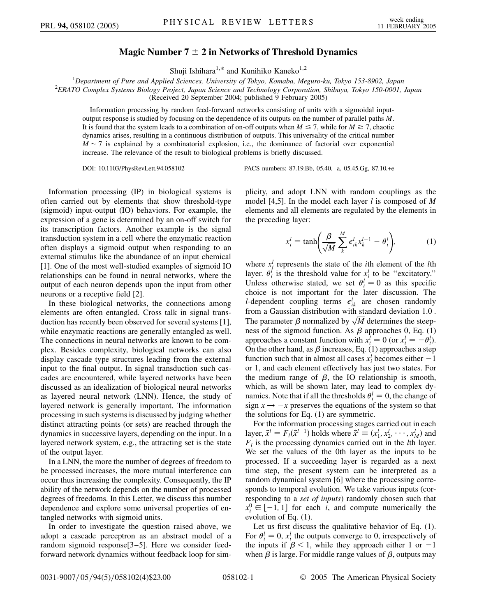## **Magic Number 7 2 in Networks of Threshold Dynamics**

Shuji Ishihara<sup>1,\*</sup> and Kunihiko Kaneko<sup>1,2</sup>

<sup>1</sup>Department of Pure and Applied Sciences, University of Tokyo, Komaba, Meguro-ku, Tokyo 153-8902, Japan<br><sup>2</sup>EBATO Complex Systems Biology Project, Japan Science and Technology Corporation, Shibyya, Tokyo 150,0001 *ERATO Complex Systems Biology Project, Japan Science and Technology Corporation, Shibuya, Tokyo 150-0001, Japan* (Received 20 September 2004; published 9 February 2005)

Information processing by random feed-forward networks consisting of units with a sigmoidal inputoutput response is studied by focusing on the dependence of its outputs on the number of parallel paths *M*. It is found that the system leads to a combination of on-off outputs when  $M \le 7$ , while for  $M \ge 7$ , chaotic dynamics arises, resulting in a continuous distribution of outputs. This universality of the critical number  $M \sim 7$  is explained by a combinatorial explosion, i.e., the dominance of factorial over exponential increase. The relevance of the result to biological problems is briefly discussed.

DOI: 10.1103/PhysRevLett.94.058102 PACS numbers: 87.19.Bb, 05.40.–a, 05.45.Gg, 87.10.+e

Information processing (IP) in biological systems is often carried out by elements that show threshold-type (sigmoid) input-output (IO) behaviors. For example, the expression of a gene is determined by an on-off switch for its transcription factors. Another example is the signal transduction system in a cell where the enzymatic reaction often displays a sigmoid output when responding to an external stimulus like the abundance of an input chemical [1]. One of the most well-studied examples of sigmoid IO relationships can be found in neural networks, where the output of each neuron depends upon the input from other neurons or a receptive field [2].

In these biological networks, the connections among elements are often entangled. Cross talk in signal transduction has recently been observed for several systems [1], while enzymatic reactions are generally entangled as well. The connections in neural networks are known to be complex. Besides complexity, biological networks can also display cascade type structures leading from the external input to the final output. In signal transduction such cascades are encountered, while layered networks have been discussed as an idealization of biological neural networks as layered neural network (LNN). Hence, the study of layered network is generally important. The information processing in such systems is discussed by judging whether distinct attracting points (or sets) are reached through the dynamics in successive layers, depending on the input. In a layered network system, e.g., the attracting set is the state of the output layer.

In a LNN, the more the number of degrees of freedom to be processed increases, the more mutual interference can occur thus increasing the complexity. Consequently, the IP ability of the network depends on the number of processed degrees of freedoms. In this Letter, we discuss this number dependence and explore some universal properties of entangled networks with sigmoid units.

In order to investigate the question raised above, we adopt a cascade perceptron as an abstract model of a random sigmoid response[3–5]. Here we consider feedforward network dynamics without feedback loop for simplicity, and adopt LNN with random couplings as the model [4,5]. In the model each layer *l* is composed of *M* elements and all elements are regulated by the elements in the preceding layer:

$$
x_i^l = \tanh\left(\frac{\beta}{\sqrt{M}} \sum_k^M \epsilon_{ik}^l x_k^{l-1} - \theta_i^l\right),\tag{1}
$$

where  $x_i^l$  represents the state of the *i*<sup>th</sup> element of the *l*th layer.  $\theta_i^l$  is the threshold value for  $x_i^l$  to be "excitatory." Unless otherwise stated, we set  $\theta_i^l = 0$  as this specific choice is not important for the later discussion. The *l*-dependent coupling terms  $\epsilon_{ik}^l$  are chosen randomly from a Gaussian distribution with standard deviation 1.0 . From a Gaussian distribution with standard deviation 1.0.<br>The parameter  $\beta$  normalized by  $\sqrt{M}$  determines the steep-.<br>ส -.<br>د .<br>T ness of the sigmoid function. As  $\beta$  approaches 0, Eq. (1) approaches a constant function with  $x_i^l = 0$  (or  $x_i^l = -\theta_i^l$ ). On the other hand, as  $\beta$  increases, Eq. (1) approaches a step function such that in almost all cases  $x_i^l$  becomes either  $-1$ or 1, and each element effectively has just two states. For the medium range of  $\beta$ , the IO relationship is smooth, which, as will be shown later, may lead to complex dynamics. Note that if all the thresholds  $\theta_i^l = 0$ , the change of sign  $x \rightarrow -x$  preserves the equations of the system so that the solutions for Eq. (1) are symmetric.

For the information processing stages carried out in each layer,  $\vec{x}^l = F_l(\vec{x}^{l-1})$  holds where  $\vec{x}^l \equiv (x_1^l, x_2^l, \dots, x_M^l)$  and  $F_l$  is the processing dynamics carried out in the *l*th layer. We set the values of the 0th layer as the inputs to be processed. If a succeeding layer is regarded as a next time step, the present system can be interpreted as a random dynamical system [6] where the processing corresponds to temporal evolution. We take various inputs (corresponding to a *set of inputs*) randomly chosen such that  $x_i^0 \in [-1, 1]$  for each *i*, and compute numerically the evolution of Eq. (1).

Let us first discuss the qualitative behavior of Eq. (1). For  $\theta_i^l = 0$ ,  $x_i^l$  the outputs converge to 0, irrespectively of the inputs if  $\beta$  < 1, while they approach either 1 or -1 when  $\beta$  is large. For middle range values of  $\beta$ , outputs may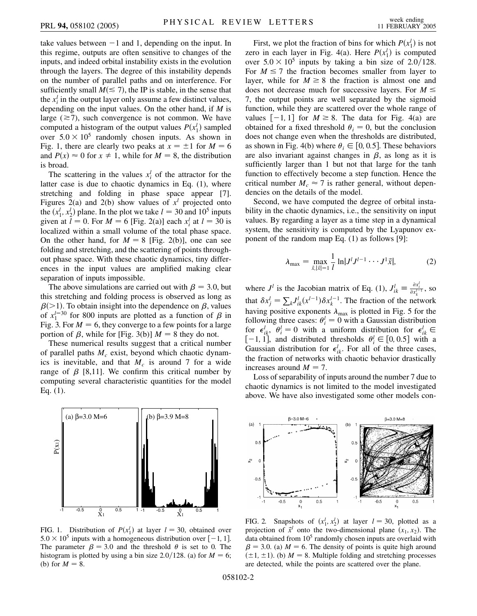take values between  $-1$  and 1, depending on the input. In this regime, outputs are often sensitive to changes of the inputs, and indeed orbital instability exists in the evolution through the layers. The degree of this instability depends on the number of parallel paths and on interference. For sufficiently small  $M(\leq 7)$ , the IP is stable, in the sense that the  $x_i^l$  in the output layer only assume a few distinct values, depending on the input values. On the other hand, if *M* is large  $(\geq 7)$ , such convergence is not common. We have computed a histogram of the output values  $P(x_1^l)$  sampled over  $5.0 \times 10^5$  randomly chosen inputs. As shown in Fig. 1, there are clearly two peaks at  $x = \pm 1$  for  $M = 6$ and  $P(x) \approx 0$  for  $x \neq 1$ , while for  $M = 8$ , the distribution is broad.

The scattering in the values  $x_i^l$  of the attractor for the latter case is due to chaotic dynamics in Eq. (1), where stretching and folding in phase space appear [7]. Figures 2(a) and 2(b) show values of  $x^l$  projected onto the  $(x_1^l, x_2^l)$  plane. In the plot we take  $l = 30$  and  $10^5$  inputs given at  $\bar{l} = 0$ . For  $M = 6$  [Fig. 2(a)] each  $x_i^l$  at  $l = 30$  is localized within a small volume of the total phase space. On the other hand, for  $M = 8$  [Fig. 2(b)], one can see folding and stretching, and the scattering of points throughout phase space. With these chaotic dynamics, tiny differences in the input values are amplified making clear separation of inputs impossible.

The above simulations are carried out with  $\beta = 3.0$ , but this stretching and folding process is observed as long as  $\beta$ (>1). To obtain insight into the dependence on  $\beta$ , values of  $x_1^{l=30}$  for 800 inputs are plotted as a function of  $\beta$  in Fig. 3. For  $M = 6$ , they converge to a few points for a large portion of  $\beta$ , while for [Fig. 3(b)]  $M = 8$  they do not.

These numerical results suggest that a critical number of parallel paths  $M_c$  exist, beyond which chaotic dynamics is inevitable, and that  $M_c$  is around 7 for a wide range of  $\beta$  [8,11]. We confirm this critical number by computing several characteristic quantities for the model Eq. (1).



FIG. 1. Distribution of  $P(x_1^l)$  at layer  $l = 30$ , obtained over  $5.0 \times 10^5$  inputs with a homogeneous distribution over  $[-1, 1]$ . The parameter  $\beta = 3.0$  and the threshold  $\theta$  is set to 0. The histogram is plotted by using a bin size 2.0/128. (a) for  $M = 6$ ; (b) for  $M = 8$ .

First, we plot the fraction of bins for which  $P(x_1^l)$  is not zero in each layer in Fig. 4(a). Here  $P(x_1^l)$  is computed over  $5.0 \times 10^5$  inputs by taking a bin size of 2.0/128. For  $M \le 7$  the fraction becomes smaller from layer to layer, while for  $M \geq 8$  the fraction is almost one and does not decrease much for successive layers. For  $M \leq$ 7, the output points are well separated by the sigmoid function, while they are scattered over the whole range of values  $[-1, 1]$  for  $M \ge 8$ . The data for Fig. 4(a) are obtained for a fixed threshold  $\theta_i = 0$ , but the conclusion does not change even when the thresholds are distributed, as shown in Fig. 4(b) where  $\theta_i \in [0, 0.5]$ . These behaviors are also invariant against changes in  $\beta$ , as long as it is sufficiently larger than 1 but not that large for the tanh function to effectively become a step function. Hence the critical number  $M_c \approx 7$  is rather general, without dependencies on the details of the model.

Second, we have computed the degree of orbital instability in the chaotic dynamics, i.e., the sensitivity on input values. By regarding a layer as a time step in a dynamical system, the sensitivity is computed by the Lyapunov exponent of the random map Eq. (1) as follows [9]:

$$
\lambda_{\max} = \max_{\vec{x}, |\vec{x}| = 1} \frac{1}{l} \ln|J^l J^{l-1} \cdots J^1 \vec{x}|, \tag{2}
$$

where  $J^l$  is the Jacobian matrix of Eq. (1),  $J^l_{ik} \equiv \frac{\partial x^l_i}{\partial x^{l-1}}$ , so that  $\delta x_j^l = \sum_k J_{ik}^l (x^{l-1}) \delta x_k^{l-1}$ . The fraction of the network having positive exponents  $\lambda_{\text{max}}$  is plotted in Fig. 5 for the following three cases:  $\theta_i^l = 0$  with a Gaussian distribution for  $\epsilon_{ik}^l$ ,  $\theta_i^l = 0$  with a uniform distribution for  $\epsilon_{ik}^l \in$  $[-1, 1]$ , and distributed thresholds  $\theta_i^l \in [0, 0.5]$  with a Gaussian distribution for  $\epsilon_{ik}^l$ . For all of the three cases, the fraction of networks with chaotic behavior drastically increases around  $M = 7$ .

Loss of separability of inputs around the number 7 due to chaotic dynamics is not limited to the model investigated above. We have also investigated some other models con-



FIG. 2. Snapshots of  $(x_1^l, x_2^l)$  at layer  $l = 30$ , plotted as a projection of  $\vec{x}^l$  onto the two-dimensional plane  $(x_1, x_2)$ . The data obtained from  $10<sup>5</sup>$  randomly chosen inputs are overlaid with  $\beta = 3.0$ . (a)  $M = 6$ . The density of points is quite high around  $(\pm 1, \pm 1)$ . (b)  $M = 8$ . Multiple folding and stretching processes are detected, while the points are scattered over the plane.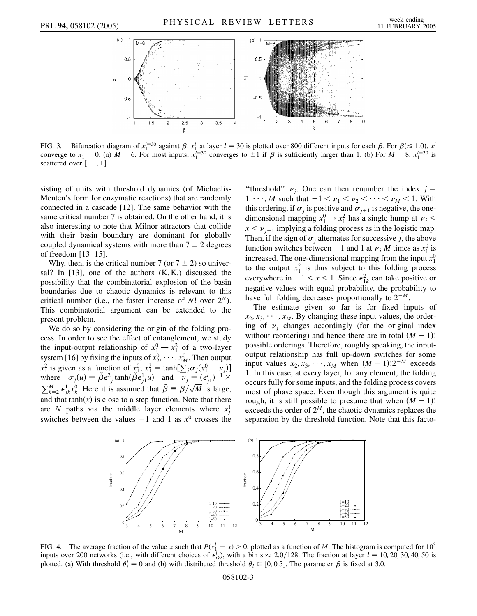

FIG. 3. Bifurcation diagram of  $x_1^{l=30}$  against  $\beta$ .  $x_1^l$  at layer  $l = 30$  is plotted over 800 different inputs for each  $\beta$ . For  $\beta (\le 1.0)$ ,  $x^l$ converge to  $x_1 = 0$ . (a)  $M = 6$ . For most inputs,  $x_1^{l=30}$  converges to  $\pm 1$  if  $\beta$  is sufficiently larger than 1. (b) For  $M = 8$ ,  $x_1^{l=30}$  is scattered over  $[-1, 1]$ .

sisting of units with threshold dynamics (of Michaelis-Menten's form for enzymatic reactions) that are randomly connected in a cascade [12]. The same behavior with the same critical number 7 is obtained. On the other hand, it is also interesting to note that Milnor attractors that collide with their basin boundary are dominant for globally coupled dynamical systems with more than  $7 \pm 2$  degrees of freedom [13–15].

Why, then, is the critical number 7 (or  $7 \pm 2$ ) so universal? In [13], one of the authors (K. K.) discussed the possibility that the combinatorial explosion of the basin boundaries due to chaotic dynamics is relevant to this critical number (i.e., the faster increase of  $N!$  over  $2^N$ ). This combinatorial argument can be extended to the present problem.

We do so by considering the origin of the folding process. In order to see the effect of entanglement, we study the input-output relationship of  $x_1^0 \rightarrow x_1^2$  of a two-layer system [16] by fixing the inputs of  $x_2^0, \dots, x_M^0$ . Then output  $x_1^2$  is given as a function of  $x_1^0$ ;  $x_1^2$  = tanh $[\sum_j \sigma_j (x_1^0 - \nu_j)]$ where  $\sigma_j(u) = \tilde{\beta} \epsilon_{1j}^2 \tanh(\tilde{\beta} \epsilon_{j1}^1 u)$  and  $\tilde{\nu}_j = (\epsilon_{j1}^l)^{-1} \times \tilde{\ell}_j$  $\sum_{k=2}^{M} \epsilon_{jk}^{1} x_{k}^{0}$ . Here it is assumed that  $\tilde{\beta} = \beta/\sqrt{M}$  is large, ---<br>1 and that tanh $(x)$  is close to a step function. Note that there are *N* paths via the middle layer elements where  $x_j^1$ switches between the values  $-1$  and 1 as  $x_1^0$  crosses the

"threshold"  $\nu_j$ . One can then renumber the index  $j =$ 1,  $\cdots$ , *M* such that  $-1 < \nu_1 < \nu_2 < \cdots < \nu_M < 1$ . With this ordering, if  $\sigma_j$  is positive and  $\sigma_{j+1}$  is negative, the onedimensional mapping  $x_1^0 \rightarrow x_1^2$  has a single hump at  $\nu_j$  <  $x < \nu_{j+1}$  implying a folding process as in the logistic map. Then, if the sign of  $\sigma_j$  alternates for successive *j*, the above function switches between  $-1$  and 1 at  $\nu_j$  *M* times as  $x_1^0$  is increased. The one-dimensional mapping from the input  $x_1^0$ to the output  $x_1^2$  is thus subject to this folding process everywhere in  $-1 < x < 1$ . Since  $\epsilon_{1k}^2$  can take positive or negative values with equal probability, the probability to have full folding decreases proportionally to  $2^{-M}$ .

The estimate given so far is for fixed inputs of  $x_2, x_3, \dots, x_M$ . By changing these input values, the ordering of  $\nu_i$  changes accordingly (for the original index without reordering) and hence there are in total  $(M - 1)!$ possible orderings. Therefore, roughly speaking, the inputoutput relationship has full up-down switches for some input values  $x_2, x_3, \dots, x_M$  when  $(M - 1)!2^{-M}$  exceeds 1. In this case, at every layer, for any element, the folding occurs fully for some inputs, and the folding process covers most of phase space. Even though this argument is quite rough, it is still possible to presume that when  $(M - 1)!$ exceeds the order of  $2^M$ , the chaotic dynamics replaces the separation by the threshold function. Note that this facto-



FIG. 4. The average fraction of the value *x* such that  $P(x_1^l = x) > 0$ , plotted as a function of *M*. The histogram is computed for 10<sup>5</sup> inputs over 200 networks (i.e., with different choices of  $\epsilon_{ik}^l$ ), with a bin size 2.0/128. The fraction at layer  $l = 10, 20, 30, 40, 50$  is plotted. (a) With threshold  $\theta_i^l = 0$  and (b) with distributed threshold  $\theta_i \in [0, 0.5]$ . The parameter  $\beta$  is fixed at 3.0.